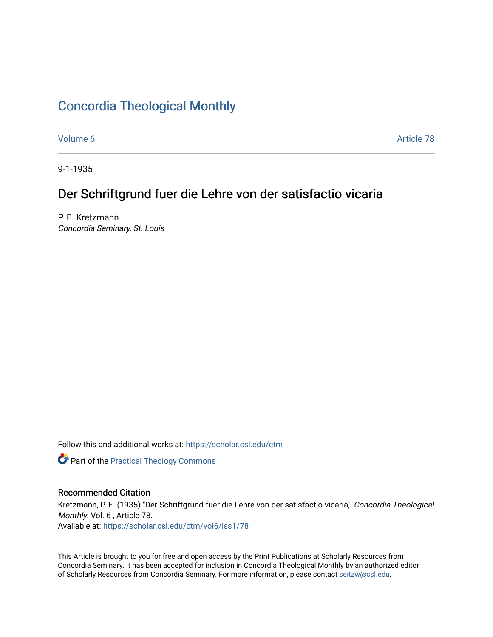# [Concordia Theological Monthly](https://scholar.csl.edu/ctm)

[Volume 6](https://scholar.csl.edu/ctm/vol6) Article 78

9-1-1935

# Der Schriftgrund fuer die Lehre von der satisfactio vicaria

P. E. Kretzmann Concordia Seminary, St. Louis

Follow this and additional works at: [https://scholar.csl.edu/ctm](https://scholar.csl.edu/ctm?utm_source=scholar.csl.edu%2Fctm%2Fvol6%2Fiss1%2F78&utm_medium=PDF&utm_campaign=PDFCoverPages)

**Part of the [Practical Theology Commons](http://network.bepress.com/hgg/discipline/1186?utm_source=scholar.csl.edu%2Fctm%2Fvol6%2Fiss1%2F78&utm_medium=PDF&utm_campaign=PDFCoverPages)** 

## Recommended Citation

Kretzmann, P. E. (1935) "Der Schriftgrund fuer die Lehre von der satisfactio vicaria," Concordia Theological Monthly: Vol. 6 , Article 78.

Available at: [https://scholar.csl.edu/ctm/vol6/iss1/78](https://scholar.csl.edu/ctm/vol6/iss1/78?utm_source=scholar.csl.edu%2Fctm%2Fvol6%2Fiss1%2F78&utm_medium=PDF&utm_campaign=PDFCoverPages)

This Article is brought to you for free and open access by the Print Publications at Scholarly Resources from Concordia Seminary. It has been accepted for inclusion in Concordia Theological Monthly by an authorized editor of Scholarly Resources from Concordia Seminary. For more information, please contact [seitzw@csl.edu](mailto:seitzw@csl.edu).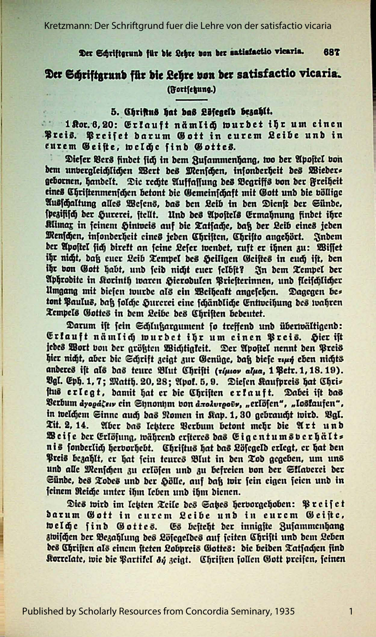Kretzmann: Der Schriftgrund fuer die Lehre von der satisfactio vicaria

#### Der Schriftgrund für die Lehre von der satisfactio vicaria. 687

## Der Schriftgrund für die Lehre von der satisfactio vicaria. (Fortsetzung.)

### 5. Chriftus hat bas Löfegelb bezahlt.

<sup>1</sup> 1 Kor. 6, 20: Erkauft nämlich wurdet ihr um einen Preis. Preiset darum Gott in eurem Leibe und in eurem Geiste, welche find Gottes.

Diefer Vers findet sich in dem Zusammenhang, wo der Apostel von dem unvergleichlichen Wert des Menschen, insonderheit des Wieders gebornen, handelt. Die rechte Auffassung des Begriffs von der Freiheit eines Christenmenschen betont die Gemeinschaft mit Gott und die völlige Ausschaltung alles Wesens, das den Leib in den Dienst der Sünde, spezifisch der Hurerei, stellt. Und des Apostels Ermahnung findet ihre Klimax in feinem Hintveis auf die Tatfache, daß der Leib eines jeden Menschen, infonderheit eines jeden Christen, Christo angehört. Indem der Apostel sich direkt an seine Leser wendet, ruft er ihnen zu: Wisset ihr nicht, daß euer Leib Tempel des Seiligen Geistes in euch ist, den ihr von Gott habt, und seid nicht euer selbst? In dem Tempel der Aphrodite in Korinth waren Hierodulen Briesterinnen, und fleischlicher Umgang mit diesen wurde als ein Weiheakt angesehen. Dagegen bes tont Paulus, daß folche Hurerei eine fchändliche Entweihung des wahren Tempels Gottes in dem Leibe des Christen bedeutet.

Darum ist sein Schlußargument so treffend und überwältigend: Erfauft nämlich wurdet ihr um einen Breis. Hier ist jedes Wort von der größten Wichtigkeit. Der Apostel nennt den Preis hier nicht, aber die Schrift zeigt zur Genüge, daß diese run eben nichts anderes ift als das teure Blut Chrifti (ripnov alpa, 1 Petr. 1, 18. 19). Bgl. Eph. 1, 7; Matth. 20, 28; Apol. 5, 9. Diefen Kaufpreis hat Chris ftus erlegt, damit hat er die Christen erkauft. Dabei ist das Verbum ayogáher ein Synonym von axodvrgovs, "erlöfen", "losłaufen", in welchem Sinne auch das Nomen in Kap. 1, 30 gebraucht wird. Vgl. Tit. 2, 14. Aber das leistere Verbum betont mehr die Art und Beife der Erlöfung, während eriteres das Eigentumsverhält= nis sonderlich hervorhebt. Christus hat das Lösegeld erlegt, er hat den Preis bezahlt, er hat fein teures Blut in den Tod gegeben, um uns und alle Menschen zu erlösen und zu befreien von der Sklaverei der Sünde, des Todes und der Hölle, auf daß wir sein eigen seien und in seinem Reiche unter ihm leben und ihm dienen.

Dies wird im letten Teile des Sates hervorgehoben: Preiset darum Gott in eurem Leibe und in eurem Geiste, welche find Gottes. Es besteht der innigste Zusammenhang zwischen der Bezahlung des Löfegeldes auf feiten Christi und dem Leben des Chriften als einem steten Lobpreis Gottes: die beiden Tatsachen sind Korrelate, wie die Partikel 81 zeigt. Christen sollen Gott preisen, seinen

1